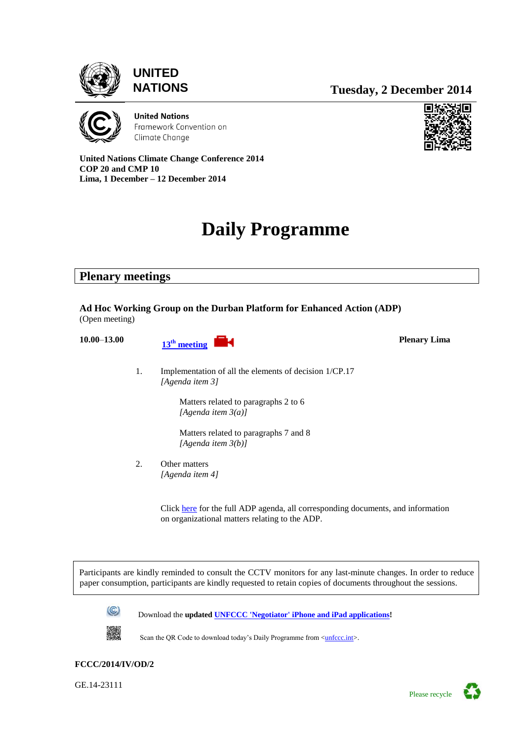



**NATIONS Tuesday, 2 December 2014**



**United Nations** Framework Convention on Climate Change



**Plenary Lima**

**United Nations Climate Change Conference 2014 COP 20 and CMP 10 Lima, 1 December – 12 December 2014**

# **Daily Programme**

**Plenary meetings**

**Ad Hoc Working Group on the Durban Platform for Enhanced Action (ADP)** (Open meeting)



1. Implementation of all the elements of decision 1/CP.17 *[Agenda item 3]*

> Matters related to paragraphs 2 to 6 *[Agenda item 3(a)]*

Matters related to paragraphs 7 and 8 *[Agenda item 3(b)]*

2. Other matters *[Agenda item 4]*

> Clic[k here](http://unfccc.int/meetings/lima_dec_2014/session/8532/php/view/documents.php) for the full ADP agenda, all corresponding documents, and information on organizational matters relating to the ADP.

 Participants are kindly reminded to consult the CCTV monitors for any last-minute changes. In order to reduce paper consumption, participants are kindly requested to retain copies of documents throughout the sessions.



Download the **updated [UNFCCC 'Negotiator' iPhone and iPad applications!](http://unfccc.int/iphoneapp/)**



Scan the QR Code to download today's Daily Programme from [<unfccc.int>](http://unfccc.int/meetings/bonn_may_2012/meeting/6599/php/view/dailyprogramme.php).

#### **FCCC/2014/IV/OD/2**

GE.14-23111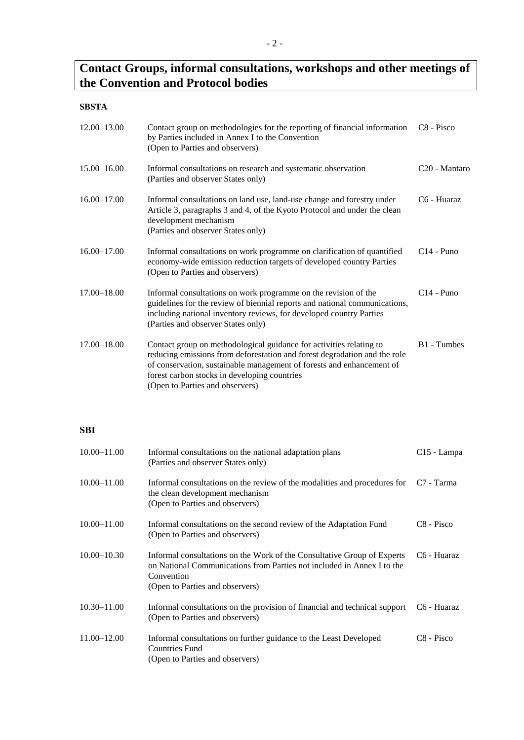# **Contact Groups, informal consultations, workshops and other meetings of the Convention and Protocol bodies**

# **SBSTA**

| 12.00-13.00     | Contact group on methodologies for the reporting of financial information<br>by Parties included in Annex I to the Convention<br>(Open to Parties and observers)                                                                                                                                             | C <sub>8</sub> - Pisco    |
|-----------------|--------------------------------------------------------------------------------------------------------------------------------------------------------------------------------------------------------------------------------------------------------------------------------------------------------------|---------------------------|
| $15.00 - 16.00$ | Informal consultations on research and systematic observation<br>(Parties and observer States only)                                                                                                                                                                                                          | C <sub>20</sub> - Mantaro |
| 16.00-17.00     | Informal consultations on land use, land-use change and forestry under<br>Article 3, paragraphs 3 and 4, of the Kyoto Protocol and under the clean<br>development mechanism<br>(Parties and observer States only)                                                                                            | C6 - Huaraz               |
| $16.00 - 17.00$ | Informal consultations on work programme on clarification of quantified<br>economy-wide emission reduction targets of developed country Parties<br>(Open to Parties and observers)                                                                                                                           | $C14 - Puno$              |
| $17.00 - 18.00$ | Informal consultations on work programme on the revision of the<br>guidelines for the review of biennial reports and national communications,<br>including national inventory reviews, for developed country Parties<br>(Parties and observer States only)                                                   | $C14 - Puno$              |
| $17.00 - 18.00$ | Contact group on methodological guidance for activities relating to<br>reducing emissions from deforestation and forest degradation and the role<br>of conservation, sustainable management of forests and enhancement of<br>forest carbon stocks in developing countries<br>(Open to Parties and observers) | B1 - Tumbes               |

# **SBI**

| $10.00 - 11.00$ | Informal consultations on the national adaptation plans<br>(Parties and observer States only)                                                                                                      | C <sub>15</sub> - Lampa |
|-----------------|----------------------------------------------------------------------------------------------------------------------------------------------------------------------------------------------------|-------------------------|
| $10.00 - 11.00$ | Informal consultations on the review of the modalities and procedures for $C7$ - Tarma<br>the clean development mechanism<br>(Open to Parties and observers)                                       |                         |
| $10.00 - 11.00$ | Informal consultations on the second review of the Adaptation Fund<br>(Open to Parties and observers)                                                                                              | C <sub>8</sub> - Pisco  |
| $10.00 - 10.30$ | Informal consultations on the Work of the Consultative Group of Experts<br>on National Communications from Parties not included in Annex I to the<br>Convention<br>(Open to Parties and observers) | C6 - Huaraz             |
| $10.30 - 11.00$ | Informal consultations on the provision of financial and technical support<br>(Open to Parties and observers)                                                                                      | C6 - Huaraz             |
| $11.00 - 12.00$ | Informal consultations on further guidance to the Least Developed<br><b>Countries Fund</b><br>(Open to Parties and observers)                                                                      | C <sub>8</sub> - Pisco  |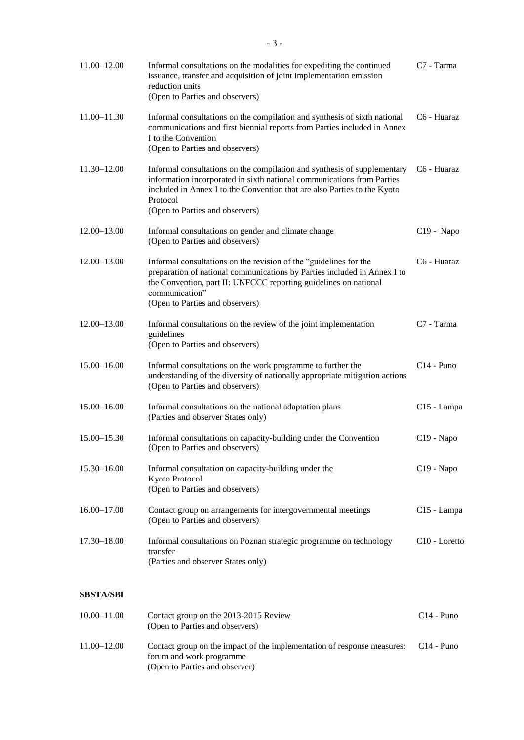| $11.00 - 12.00$  | Informal consultations on the modalities for expediting the continued<br>issuance, transfer and acquisition of joint implementation emission<br>reduction units<br>(Open to Parties and observers)                                                                            | C <sub>7</sub> - Tarma    |
|------------------|-------------------------------------------------------------------------------------------------------------------------------------------------------------------------------------------------------------------------------------------------------------------------------|---------------------------|
| $11.00 - 11.30$  | Informal consultations on the compilation and synthesis of sixth national<br>communications and first biennial reports from Parties included in Annex<br>I to the Convention<br>(Open to Parties and observers)                                                               | C <sub>6</sub> - Huaraz   |
| $11.30 - 12.00$  | Informal consultations on the compilation and synthesis of supplementary<br>information incorporated in sixth national communications from Parties<br>included in Annex I to the Convention that are also Parties to the Kyoto<br>Protocol<br>(Open to Parties and observers) | C <sub>6</sub> - Huaraz   |
| $12.00 - 13.00$  | Informal consultations on gender and climate change<br>(Open to Parties and observers)                                                                                                                                                                                        | $C19 - Napo$              |
| $12.00 - 13.00$  | Informal consultations on the revision of the "guidelines for the<br>preparation of national communications by Parties included in Annex I to<br>the Convention, part II: UNFCCC reporting guidelines on national<br>communication"<br>(Open to Parties and observers)        | C6 - Huaraz               |
| $12.00 - 13.00$  | Informal consultations on the review of the joint implementation<br>guidelines<br>(Open to Parties and observers)                                                                                                                                                             | C7 - Tarma                |
| $15.00 - 16.00$  | Informal consultations on the work programme to further the<br>understanding of the diversity of nationally appropriate mitigation actions<br>(Open to Parties and observers)                                                                                                 | $C14$ - Puno              |
| 15.00-16.00      | Informal consultations on the national adaptation plans<br>(Parties and observer States only)                                                                                                                                                                                 | C <sub>15</sub> - Lampa   |
| $15.00 - 15.30$  | Informal consultations on capacity-building under the Convention<br>(Open to Parties and observers)                                                                                                                                                                           | C19 - Napo                |
| $15.30 - 16.00$  | Informal consultation on capacity-building under the<br>Kyoto Protocol<br>(Open to Parties and observers)                                                                                                                                                                     | C <sub>19</sub> - Napo    |
| $16.00 - 17.00$  | Contact group on arrangements for intergovernmental meetings<br>(Open to Parties and observers)                                                                                                                                                                               | C <sub>15</sub> - Lampa   |
| 17.30-18.00      | Informal consultations on Poznan strategic programme on technology<br>transfer<br>(Parties and observer States only)                                                                                                                                                          | C <sub>10</sub> - Loretto |
| <b>SBSTA/SBI</b> |                                                                                                                                                                                                                                                                               |                           |
| $10.00 - 11.00$  | Contact group on the 2013-2015 Review                                                                                                                                                                                                                                         | $C14 - Puno$              |

11.00–12.00 Contact group on the impact of the implementation of response measures: forum and work programme (Open to Parties and observer) C14 - Puno

(Open to Parties and observers)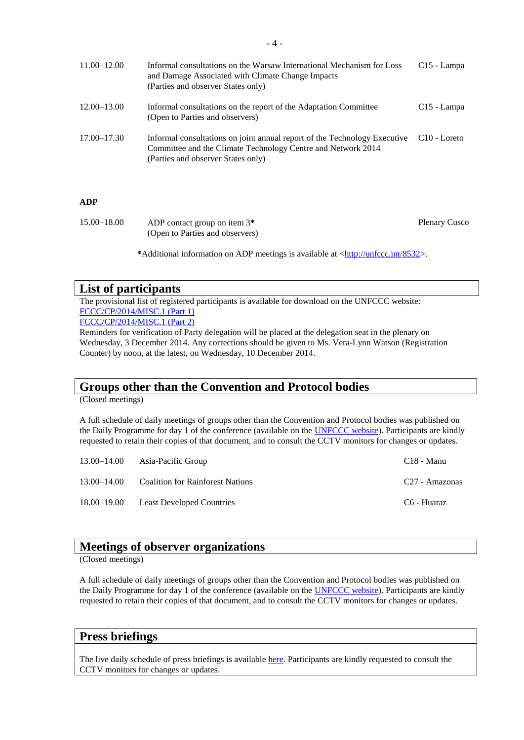| $11.00 - 12.00$ | Informal consultations on the Warsaw International Mechanism for Loss<br>and Damage Associated with Climate Change Impacts<br>(Parties and observer States only)                | $C15$ - Lampa  |
|-----------------|---------------------------------------------------------------------------------------------------------------------------------------------------------------------------------|----------------|
| $12.00 - 13.00$ | Informal consultations on the report of the Adaptation Committee<br>(Open to Parties and observers)                                                                             | $C15$ - Lampa  |
| 17.00–17.30     | Informal consultations on joint annual report of the Technology Executive<br>Committee and the Climate Technology Centre and Network 2014<br>(Parties and observer States only) | $C10 - Loreto$ |

#### **ADP**

| 15.00–18.00 | ADP contact group on item $3*$  | <b>Plenary Cusco</b> |
|-------------|---------------------------------|----------------------|
|             | (Open to Parties and observers) |                      |

\*Additional information on ADP meetings is available at [<http://unfccc.int/8532>](http://unfccc.int/8532).

#### **List of participants**

The provisional list of registered participants is available for download on the UNFCCC website: [FCCC/CP/2014/MISC.1 \(Part 1\)](http://unfccc.int/documentation/documents/advanced_search/items/6911.php?priref=600008270)

[FCCC/CP/2014/MISC.1 \(Part 2\)](http://unfccc.int/documentation/documents/advanced_search/items/6911.php?priref=600008271)

Reminders for verification of Party delegation will be placed at the delegation seat in the plenary on Wednesday, 3 December 2014. Any corrections should be given to Ms. Vera-Lynn Watson (Registration Counter) by noon, at the latest, on Wednesday, 10 December 2014.

### **Groups other than the Convention and Protocol bodies**

(Closed meetings)

A full schedule of daily meetings of groups other than the Convention and Protocol bodies was published on the Daily Programme for day 1 of the conference (available on the **UNFCCC website**). Participants are kindly requested to retain their copies of that document, and to consult the CCTV monitors for changes or updates.

| 13.00–14.00     | Asia-Pacific Group                      | C <sub>18</sub> - Manu     |
|-----------------|-----------------------------------------|----------------------------|
| $13.00 - 14.00$ | <b>Coalition for Rainforest Nations</b> | C <sub>27</sub> - Amazonas |
|                 | 18.00–19.00 Least Developed Countries   | C6 - Huaraz                |

### **Meetings of observer organizations**

(Closed meetings)

A full schedule of daily meetings of groups other than the Convention and Protocol bodies was published on the Daily Programme for day 1 of the conference (available on the **UNFCCC website**). Participants are kindly requested to retain their copies of that document, and to consult the CCTV monitors for changes or updates.

#### **Press briefings**

The live daily schedule of press briefings is available [here.](https://grandreserva.unfccc.int/grandreserva/public/schedule?conference_id=61&meeting_type=145&refresh_interval=120) Participants are kindly requested to consult the CCTV monitors for changes or updates.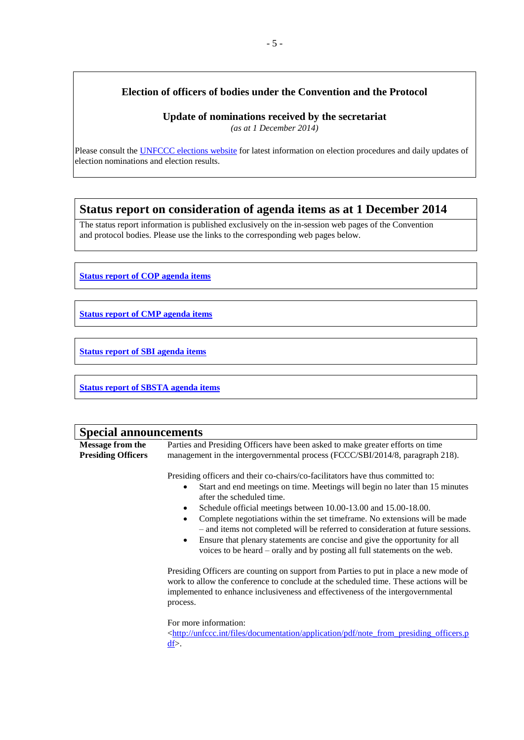# **Election of officers of bodies under the Convention and the Protocol**

**Update of nominations received by the secretariat**

*(as at 1 December 2014)*

Please consult the [UNFCCC elections website](http://unfccc.int/bodies/election_and_membership/items/6558.php) for latest information on election procedures and daily updates of election nominations and election results.

# **Status report on consideration of agenda items as at 1 December 2014**

The status report information is published exclusively on the in-session web pages of the Convention and protocol bodies. Please use the links to the corresponding web pages below.

**[Status report of COP agenda items](http://unfccc.int/files/bodies/cop/application/pdf/cop_sr___1201_bd.pdf)**

**[Status report of CMP agenda items](http://unfccc.int/files/bodies/cmp/application/pdf/cmp_sr_1201.pdf)**

**[Status report of SBI agenda items](http://unfccc.int/meetings/lima_dec_2014/session/8500.php)**

**[Status report of SBSTA agenda items](http://unfccc.int/meetings/lima_dec_2014/session/8499.php)**

| <b>Special announcements</b>                         |                                                                                                                                                                                                                                                                                                                                                                                                                                                                                                                                                                                                                                                                                                                                                                                                                                                                                                                                                                                                                                                          |  |  |
|------------------------------------------------------|----------------------------------------------------------------------------------------------------------------------------------------------------------------------------------------------------------------------------------------------------------------------------------------------------------------------------------------------------------------------------------------------------------------------------------------------------------------------------------------------------------------------------------------------------------------------------------------------------------------------------------------------------------------------------------------------------------------------------------------------------------------------------------------------------------------------------------------------------------------------------------------------------------------------------------------------------------------------------------------------------------------------------------------------------------|--|--|
| <b>Message from the</b><br><b>Presiding Officers</b> | Parties and Presiding Officers have been asked to make greater efforts on time<br>management in the intergovernmental process (FCCC/SBI/2014/8, paragraph 218).                                                                                                                                                                                                                                                                                                                                                                                                                                                                                                                                                                                                                                                                                                                                                                                                                                                                                          |  |  |
|                                                      | Presiding officers and their co-chairs/co-facilitators have thus committed to:<br>Start and end meetings on time. Meetings will begin no later than 15 minutes<br>after the scheduled time.<br>Schedule official meetings between 10.00-13.00 and 15.00-18.00.<br>Complete negotiations within the set timeframe. No extensions will be made<br>- and items not completed will be referred to consideration at future sessions.<br>Ensure that plenary statements are concise and give the opportunity for all<br>voices to be heard – orally and by posting all full statements on the web.<br>Presiding Officers are counting on support from Parties to put in place a new mode of<br>work to allow the conference to conclude at the scheduled time. These actions will be<br>implemented to enhance inclusiveness and effectiveness of the intergovernmental<br>process.<br>For more information:<br><http: application="" documentation="" files="" note_from_presiding_officers.p<br="" pdf="" unfccc.int=""><math>\underline{df}</math>.</http:> |  |  |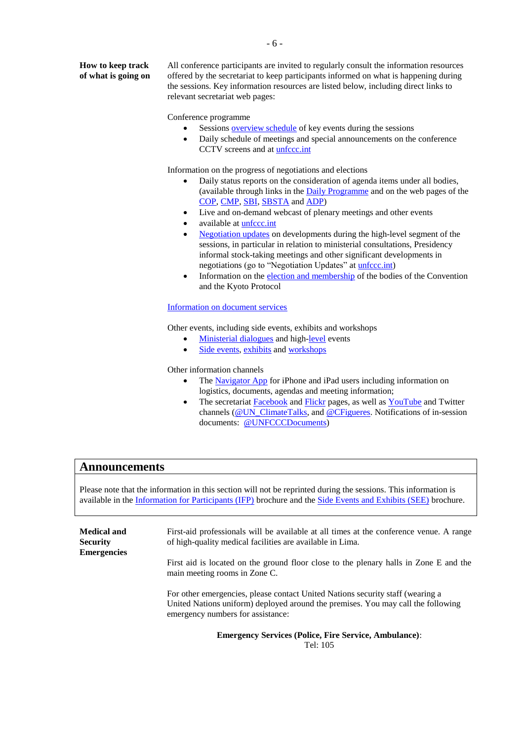**How to keep track of what is going on** All conference participants are invited to regularly consult the information resources offered by the secretariat to keep participants informed on what is happening during the sessions. Key information resources are listed below, including direct links to relevant secretariat web pages:

Conference programme

- Sessions **overview schedule** of key events during the sessions
- Daily schedule of meetings and special announcements on the conference CCTV screens and at **unfccc.int**

Information on the progress of negotiations and elections

- Daily status reports on the consideration of agenda items under all bodies, (available through links in the **Daily Programme** and on the web pages of the [COP,](http://unfccc.int/meetings/lima_dec_2014/session/8530/php/view/documents.php) [CMP,](http://unfccc.int/meetings/lima_dec_2014/session/8531/php/view/documents.php) [SBI,](http://unfccc.int/meetings/lima_dec_2014/session/8500/php/view/documents.php) [SBSTA](http://unfccc.int/meetings/lima_dec_2014/session/8499/php/view/documents.php) and [ADP\)](http://unfccc.int/meetings/lima_dec_2014/session/8532/php/view/documents.php)
- Live and on-demand webcast of plenary meetings and other events
- available at *unfccc.int*
- [Negotiation updates](http://unfccc.int/meetings/warsaw_nov_2013/items/7881.php) on developments during the high-level segment of the sessions, in particular in relation to ministerial consultations, Presidency informal stock-taking meetings and other significant developments in negotiations (go to "Negotiation Updates" at *unfccc.int*)
- Information on the [election and membership](http://unfccc.int/bodies/election_and_membership/items/6558.php) of the bodies of the Convention and the Kyoto Protocol

#### [Information on document services](http://unfccc.int/meetings/lima_dec_2014/meeting/8141/php/view/documents.php)

Other events, including side events, exhibits and workshops

- [Ministerial dialogues](http://unfccc.int/meetings/lima_dec_2014/items/8717.php) and high[-level](http://unfccc.int/meetings/lima_dec_2014/items/8717.php) events
- [Side events,](https://seors.unfccc.int/seors/reports/events_list.html?session_id=COP20) [exhibits](https://seors.unfccc.int/seors/reports/exhibits_list.html?session_id=COP20) and [workshops](ttp://unfccc.int/meetings/lima_dec_2014/meeting/8141/php/view/workshops.php)

Other information channels

- The [Navigator App](https://itunes.apple.com/app/negotiator/id568085923?ls=1&mt=8) for iPhone and iPad users including information on logistics, documents, agendas and meeting information;
- The secretariat **Facebook** and **Flickr** pages, as well as **YouTube** and Twitter channels [\(@UN\\_ClimateTalks,](http://twitter.com/UN_climatetalks) and [@CFigueres.](http://twitter.com/CFigueres) Notifications of in-session documents: [@UNFCCCDocuments\)](http://twitter.com/UNFCCCDocuments)

#### **Announcements**

Please note that the information in this section will not be reprinted during the sessions. This information is available in the [Information for Participants \(IFP\)](http://unfccc.int/files/meetings/lima_dec_2014/application/pdf/information_for_participants_cop20.pdf) brochure and the [Side Events and Exhibits \(SEE\)](http://unfccc.int/meetings/lima_dec_2014/meeting/8141/php/view/seors.php) brochure.

| <b>Medical and</b><br><b>Security</b><br><b>Emergencies</b> | First-aid professionals will be available at all times at the conference venue. A range<br>of high-quality medical facilities are available in Lima.                                                    |
|-------------------------------------------------------------|---------------------------------------------------------------------------------------------------------------------------------------------------------------------------------------------------------|
|                                                             | First aid is located on the ground floor close to the plenary halls in Zone E and the<br>main meeting rooms in Zone C.                                                                                  |
|                                                             | For other emergencies, please contact United Nations security staff (wearing a<br>United Nations uniform) deployed around the premises. You may call the following<br>emergency numbers for assistance: |
|                                                             | $\mathbf{r}$ and $\mathbf{r}$ and $\mathbf{r}$ and $\mathbf{r}$                                                                                                                                         |

**Emergency Services (Police, Fire Service, Ambulance)**: Tel: 105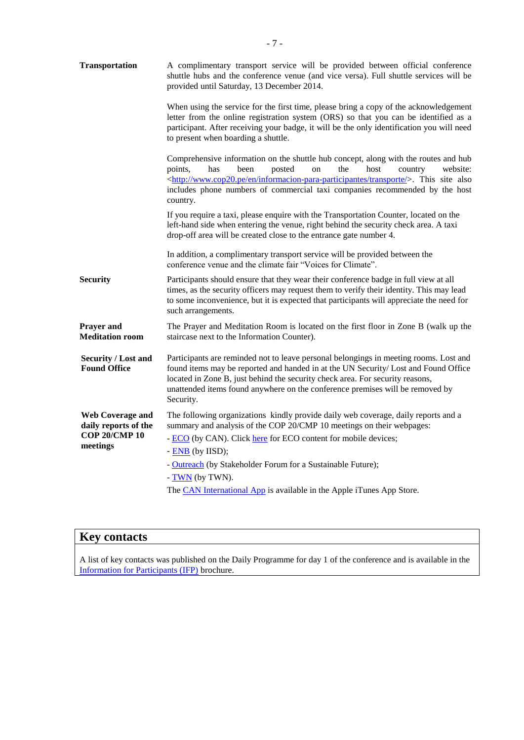| <b>Transportation</b>                             | A complimentary transport service will be provided between official conference<br>shuttle hubs and the conference venue (and vice versa). Full shuttle services will be<br>provided until Saturday, 13 December 2014.                                                                                                                                                    |  |  |
|---------------------------------------------------|--------------------------------------------------------------------------------------------------------------------------------------------------------------------------------------------------------------------------------------------------------------------------------------------------------------------------------------------------------------------------|--|--|
|                                                   | When using the service for the first time, please bring a copy of the acknowledgement<br>letter from the online registration system (ORS) so that you can be identified as a<br>participant. After receiving your badge, it will be the only identification you will need<br>to present when boarding a shuttle.                                                         |  |  |
|                                                   | Comprehensive information on the shuttle hub concept, along with the routes and hub<br>points,<br>has<br>been<br>posted<br>the<br>host<br>website:<br>on<br>country<br><http: en="" informacion-para-participantes="" transporte="" www.cop20.pe=""></http:> . This site also<br>includes phone numbers of commercial taxi companies recommended by the host<br>country. |  |  |
|                                                   | If you require a taxi, please enquire with the Transportation Counter, located on the<br>left-hand side when entering the venue, right behind the security check area. A taxi<br>drop-off area will be created close to the entrance gate number 4.                                                                                                                      |  |  |
|                                                   | In addition, a complimentary transport service will be provided between the<br>conference venue and the climate fair "Voices for Climate".                                                                                                                                                                                                                               |  |  |
| <b>Security</b>                                   | Participants should ensure that they wear their conference badge in full view at all<br>times, as the security officers may request them to verify their identity. This may lead<br>to some inconvenience, but it is expected that participants will appreciate the need for<br>such arrangements.                                                                       |  |  |
| Prayer and<br><b>Meditation room</b>              | The Prayer and Meditation Room is located on the first floor in Zone B (walk up the<br>staircase next to the Information Counter).                                                                                                                                                                                                                                       |  |  |
| <b>Security / Lost and</b><br><b>Found Office</b> | Participants are reminded not to leave personal belongings in meeting rooms. Lost and<br>found items may be reported and handed in at the UN Security/ Lost and Found Office<br>located in Zone B, just behind the security check area. For security reasons,<br>unattended items found anywhere on the conference premises will be removed by<br>Security.              |  |  |
| <b>Web Coverage and</b><br>daily reports of the   | The following organizations kindly provide daily web coverage, daily reports and a<br>summary and analysis of the COP 20/CMP 10 meetings on their webpages:                                                                                                                                                                                                              |  |  |
| <b>COP 20/CMP 10</b><br>meetings                  | - ECO (by CAN). Click here for ECO content for mobile devices;                                                                                                                                                                                                                                                                                                           |  |  |
|                                                   | $-$ ENB (by IISD);<br>- Outreach (by Stakeholder Forum for a Sustainable Future);                                                                                                                                                                                                                                                                                        |  |  |
|                                                   | $- TWN$ (by TWN).                                                                                                                                                                                                                                                                                                                                                        |  |  |
|                                                   | The CAN International App is available in the Apple iTunes App Store.                                                                                                                                                                                                                                                                                                    |  |  |

| <b>TEXT</b><br><b>Key contacts</b> |  |  |  |
|------------------------------------|--|--|--|
|                                    |  |  |  |

A list of key contacts was published on the Daily Programme for day 1 of the conference and is available in the [Information for Participants \(IFP\)](http://unfccc.int/files/meetings/lima_dec_2014/application/pdf/information_for_participants_cop20.pdf) brochure.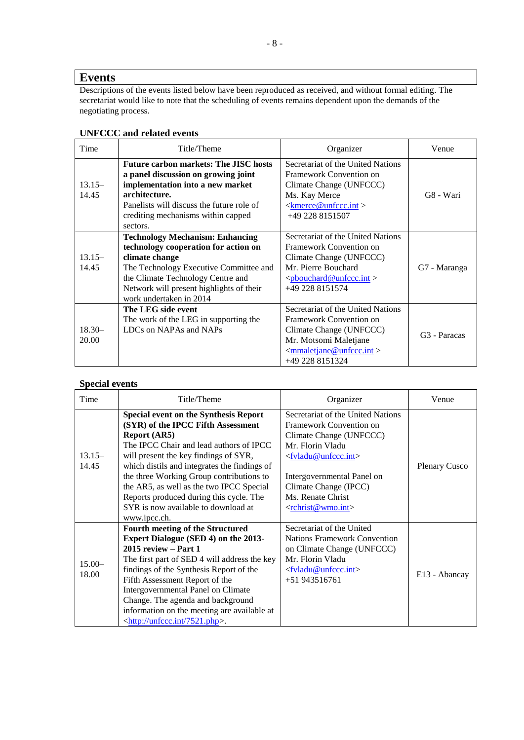# **Events**

Descriptions of the events listed below have been reproduced as received, and without formal editing. The secretariat would like to note that the scheduling of events remains dependent upon the demands of the negotiating process.

| Time              | Title/Theme                                                                                                                                                                                                                                            | Organizer                                                                                                                                                                    | Venue                    |
|-------------------|--------------------------------------------------------------------------------------------------------------------------------------------------------------------------------------------------------------------------------------------------------|------------------------------------------------------------------------------------------------------------------------------------------------------------------------------|--------------------------|
| $13.15-$<br>14.45 | <b>Future carbon markets: The JISC hosts</b><br>a panel discussion on growing joint<br>implementation into a new market<br>architecture.<br>Panelists will discuss the future role of<br>crediting mechanisms within capped<br>sectors.                | Secretariat of the United Nations<br>Framework Convention on<br>Climate Change (UNFCCC)<br>Ms. Kay Merce<br>$\leq$ kmerce@unfccc.int ><br>+49 228 8151507                    | G8 - Wari                |
| $13.15-$<br>14.45 | <b>Technology Mechanism: Enhancing</b><br>technology cooperation for action on<br>climate change<br>The Technology Executive Committee and<br>the Climate Technology Centre and<br>Network will present highlights of their<br>work undertaken in 2014 | Secretariat of the United Nations<br>Framework Convention on<br>Climate Change (UNFCCC)<br>Mr. Pierre Bouchard<br>$<\!\!\text{pboundard@unfccc.int}\!\!>$<br>+49 228 8151574 | G7 - Maranga             |
| $18.30-$<br>20.00 | The LEG side event<br>The work of the LEG in supporting the<br>LDCs on NAPAs and NAPs                                                                                                                                                                  | Secretariat of the United Nations<br>Framework Convention on<br>Climate Change (UNFCCC)<br>Mr. Motsomi Maletjane<br>$\leq$ mmaletjane@unfccc.int ><br>+49 228 8151324        | G <sub>3</sub> - Paracas |

### **UNFCCC and related events**

#### **Special events**

| Time               | Title/Theme                                                                                                                                                                                                                                                                                                                                                                                                                             | Organizer                                                                                                                                                                                                                                                                      | Venue                |
|--------------------|-----------------------------------------------------------------------------------------------------------------------------------------------------------------------------------------------------------------------------------------------------------------------------------------------------------------------------------------------------------------------------------------------------------------------------------------|--------------------------------------------------------------------------------------------------------------------------------------------------------------------------------------------------------------------------------------------------------------------------------|----------------------|
| $13.15-$<br>14.45  | <b>Special event on the Synthesis Report</b><br>(SYR) of the IPCC Fifth Assessment<br><b>Report (AR5)</b><br>The IPCC Chair and lead authors of IPCC<br>will present the key findings of SYR,<br>which distils and integrates the findings of<br>the three Working Group contributions to<br>the AR5, as well as the two IPCC Special<br>Reports produced during this cycle. The<br>SYR is now available to download at<br>www.ipcc.ch. | Secretariat of the United Nations<br>Framework Convention on<br>Climate Change (UNFCCC)<br>Mr. Florin Vladu<br><fvladu@unfccc.int><br/>Intergovernmental Panel on<br/>Climate Change (IPCC)<br/>Ms. Renate Christ<br/><math>&lt;</math>rchrist@wmo.int&gt;</fvladu@unfccc.int> | <b>Plenary Cusco</b> |
| $15.00 -$<br>18.00 | <b>Fourth meeting of the Structured</b><br>Expert Dialogue (SED 4) on the 2013-<br>$2015$ review $-$ Part 1<br>The first part of SED 4 will address the key<br>findings of the Synthesis Report of the<br>Fifth Assessment Report of the<br>Intergovernmental Panel on Climate<br>Change. The agenda and background<br>information on the meeting are available at<br><http: 7521.php="" unfccc.int="">.</http:>                        | Secretariat of the United<br>Nations Framework Convention<br>on Climate Change (UNFCCC)<br>Mr. Florin Vladu<br>$\langle$ fvladu@unfccc.int $\rangle$<br>$+51943516761$                                                                                                         | E13 - Abancay        |